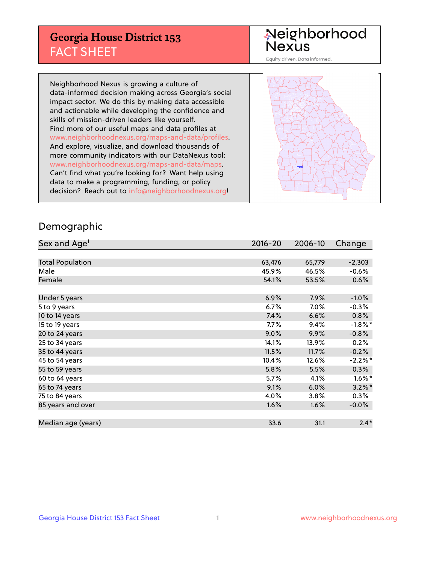## **Georgia House District 153** FACT SHEET

# Neighborhood<br>Nexus

Equity driven. Data informed.

Neighborhood Nexus is growing a culture of data-informed decision making across Georgia's social impact sector. We do this by making data accessible and actionable while developing the confidence and skills of mission-driven leaders like yourself. Find more of our useful maps and data profiles at www.neighborhoodnexus.org/maps-and-data/profiles. And explore, visualize, and download thousands of more community indicators with our DataNexus tool: www.neighborhoodnexus.org/maps-and-data/maps. Can't find what you're looking for? Want help using data to make a programming, funding, or policy decision? Reach out to [info@neighborhoodnexus.org!](mailto:info@neighborhoodnexus.org)



### Demographic

| Sex and Age <sup>1</sup> | $2016 - 20$ | 2006-10 | Change     |
|--------------------------|-------------|---------|------------|
|                          |             |         |            |
| <b>Total Population</b>  | 63,476      | 65,779  | $-2,303$   |
| Male                     | 45.9%       | 46.5%   | $-0.6%$    |
| Female                   | 54.1%       | 53.5%   | $0.6\%$    |
|                          |             |         |            |
| Under 5 years            | 6.9%        | 7.9%    | $-1.0%$    |
| 5 to 9 years             | 6.7%        | $7.0\%$ | $-0.3%$    |
| 10 to 14 years           | 7.4%        | 6.6%    | 0.8%       |
| 15 to 19 years           | 7.7%        | 9.4%    | $-1.8\%$ * |
| 20 to 24 years           | 9.0%        | 9.9%    | $-0.8%$    |
| 25 to 34 years           | 14.1%       | 13.9%   | 0.2%       |
| 35 to 44 years           | 11.5%       | 11.7%   | $-0.2%$    |
| 45 to 54 years           | 10.4%       | 12.6%   | $-2.2\%$ * |
| 55 to 59 years           | 5.8%        | 5.5%    | 0.3%       |
| 60 to 64 years           | 5.7%        | 4.1%    | $1.6\%$ *  |
| 65 to 74 years           | 9.1%        | 6.0%    | $3.2\%$ *  |
| 75 to 84 years           | 4.0%        | 3.8%    | $0.3\%$    |
| 85 years and over        | 1.6%        | 1.6%    | $-0.0%$    |
|                          |             |         |            |
| Median age (years)       | 33.6        | 31.1    | $2.4*$     |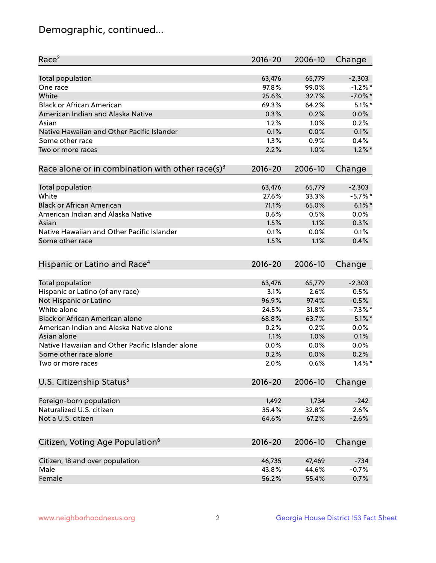## Demographic, continued...

| Race <sup>2</sup>                                            | $2016 - 20$ | 2006-10 | Change     |
|--------------------------------------------------------------|-------------|---------|------------|
| <b>Total population</b>                                      | 63,476      | 65,779  | $-2,303$   |
| One race                                                     | 97.8%       | 99.0%   | $-1.2%$ *  |
| White                                                        | 25.6%       | 32.7%   | $-7.0\%$ * |
| <b>Black or African American</b>                             | 69.3%       | 64.2%   | $5.1\%$ *  |
| American Indian and Alaska Native                            | 0.3%        | 0.2%    | 0.0%       |
| Asian                                                        | 1.2%        | 1.0%    | 0.2%       |
| Native Hawaiian and Other Pacific Islander                   | 0.1%        | 0.0%    | 0.1%       |
| Some other race                                              | 1.3%        | 0.9%    | 0.4%       |
| Two or more races                                            | 2.2%        | 1.0%    | $1.2\%$ *  |
| Race alone or in combination with other race(s) <sup>3</sup> | $2016 - 20$ | 2006-10 | Change     |
| Total population                                             | 63,476      | 65,779  | $-2,303$   |
| White                                                        | 27.6%       | 33.3%   | $-5.7\%$ * |
| <b>Black or African American</b>                             | 71.1%       | 65.0%   | $6.1\%$ *  |
| American Indian and Alaska Native                            | 0.6%        | 0.5%    | 0.0%       |
| Asian                                                        | 1.5%        | 1.1%    | 0.3%       |
| Native Hawaiian and Other Pacific Islander                   | 0.1%        | 0.0%    | 0.1%       |
| Some other race                                              | 1.5%        | 1.1%    | 0.4%       |
|                                                              |             |         |            |
| Hispanic or Latino and Race <sup>4</sup>                     | $2016 - 20$ | 2006-10 | Change     |
| Total population                                             | 63,476      | 65,779  | $-2,303$   |
| Hispanic or Latino (of any race)                             | 3.1%        | 2.6%    | 0.5%       |
| Not Hispanic or Latino                                       | 96.9%       | 97.4%   | $-0.5%$    |
| White alone                                                  | 24.5%       | 31.8%   | $-7.3\%$ * |
| Black or African American alone                              | 68.8%       | 63.7%   | $5.1\%$ *  |
| American Indian and Alaska Native alone                      | 0.2%        | 0.2%    | 0.0%       |
| Asian alone                                                  | 1.1%        | 1.0%    | 0.1%       |
| Native Hawaiian and Other Pacific Islander alone             | 0.0%        | 0.0%    | 0.0%       |
| Some other race alone                                        | 0.2%        | 0.0%    | 0.2%       |
| Two or more races                                            | 2.0%        | 0.6%    | $1.4\%$ *  |
| U.S. Citizenship Status <sup>5</sup>                         | $2016 - 20$ | 2006-10 | Change     |
|                                                              |             |         |            |
| Foreign-born population                                      | 1,492       | 1,734   | $-242$     |
| Naturalized U.S. citizen                                     | 35.4%       | 32.8%   | 2.6%       |
| Not a U.S. citizen                                           | 64.6%       | 67.2%   | $-2.6%$    |
|                                                              |             |         |            |
| Citizen, Voting Age Population <sup>6</sup>                  | 2016-20     | 2006-10 | Change     |
| Citizen, 18 and over population                              | 46,735      | 47,469  | $-734$     |
| Male                                                         | 43.8%       | 44.6%   | $-0.7%$    |
| Female                                                       | 56.2%       | 55.4%   | 0.7%       |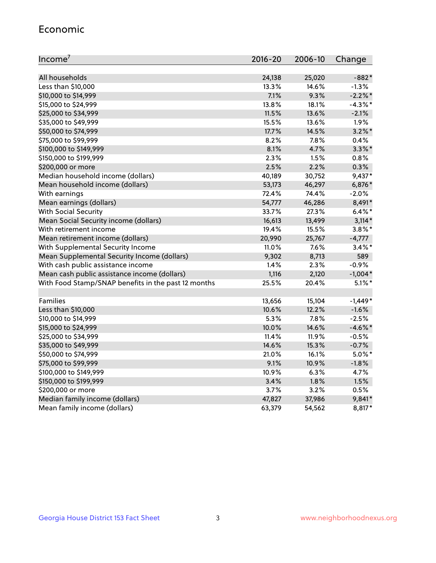#### Economic

| Income <sup>7</sup>                                 | $2016 - 20$ | 2006-10 | Change     |
|-----------------------------------------------------|-------------|---------|------------|
|                                                     |             |         |            |
| All households                                      | 24,138      | 25,020  | $-882*$    |
| Less than \$10,000                                  | 13.3%       | 14.6%   | $-1.3%$    |
| \$10,000 to \$14,999                                | 7.1%        | 9.3%    | $-2.2\%$ * |
| \$15,000 to \$24,999                                | 13.8%       | 18.1%   | $-4.3\%$ * |
| \$25,000 to \$34,999                                | 11.5%       | 13.6%   | $-2.1%$    |
| \$35,000 to \$49,999                                | 15.5%       | 13.6%   | 1.9%       |
| \$50,000 to \$74,999                                | 17.7%       | 14.5%   | $3.2\%$ *  |
| \$75,000 to \$99,999                                | 8.2%        | 7.8%    | 0.4%       |
| \$100,000 to \$149,999                              | 8.1%        | 4.7%    | $3.3\%$ *  |
| \$150,000 to \$199,999                              | 2.3%        | 1.5%    | 0.8%       |
| \$200,000 or more                                   | 2.5%        | 2.2%    | 0.3%       |
| Median household income (dollars)                   | 40,189      | 30,752  | $9,437*$   |
| Mean household income (dollars)                     | 53,173      | 46,297  | 6,876*     |
| With earnings                                       | 72.4%       | 74.4%   | $-2.0%$    |
| Mean earnings (dollars)                             | 54,777      | 46,286  | 8,491*     |
| <b>With Social Security</b>                         | 33.7%       | 27.3%   | $6.4\%$ *  |
| Mean Social Security income (dollars)               | 16,613      | 13,499  | $3,114*$   |
| With retirement income                              | 19.4%       | 15.5%   | $3.8\%$ *  |
| Mean retirement income (dollars)                    | 20,990      | 25,767  | $-4,777$   |
| With Supplemental Security Income                   | $11.0\%$    | 7.6%    | $3.4\%$ *  |
| Mean Supplemental Security Income (dollars)         | 9,302       | 8,713   | 589        |
| With cash public assistance income                  | 1.4%        | 2.3%    | $-0.9%$    |
| Mean cash public assistance income (dollars)        | 1,116       | 2,120   | $-1,004*$  |
| With Food Stamp/SNAP benefits in the past 12 months | 25.5%       | 20.4%   | $5.1\%$ *  |
|                                                     |             |         |            |
| Families                                            | 13,656      | 15,104  | $-1,449*$  |
| Less than \$10,000                                  | 10.6%       | 12.2%   | $-1.6%$    |
| \$10,000 to \$14,999                                | 5.3%        | 7.8%    | $-2.5%$    |
| \$15,000 to \$24,999                                | 10.0%       | 14.6%   | $-4.6\%$ * |
| \$25,000 to \$34,999                                | 11.4%       | 11.9%   | $-0.5%$    |
| \$35,000 to \$49,999                                | 14.6%       | 15.3%   | $-0.7%$    |
| \$50,000 to \$74,999                                | 21.0%       | 16.1%   | $5.0\%$ *  |
| \$75,000 to \$99,999                                | 9.1%        | 10.9%   | $-1.8%$    |
| \$100,000 to \$149,999                              | 10.9%       | 6.3%    | 4.7%       |
| \$150,000 to \$199,999                              | 3.4%        | 1.8%    | 1.5%       |
| \$200,000 or more                                   | 3.7%        | 3.2%    | 0.5%       |
| Median family income (dollars)                      | 47,827      | 37,986  | 9,841*     |
| Mean family income (dollars)                        | 63,379      | 54,562  | 8,817*     |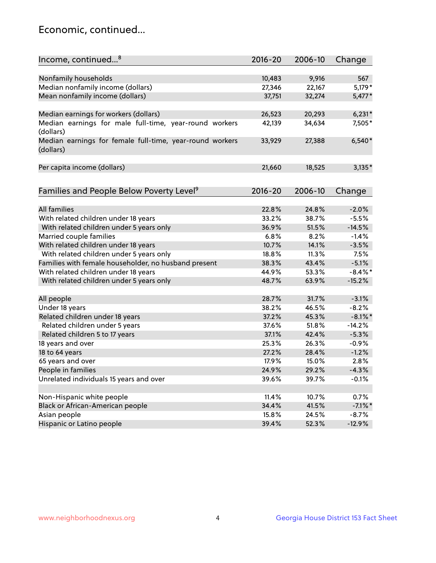## Economic, continued...

| Income, continued <sup>8</sup>                                        | $2016 - 20$ | 2006-10        | Change     |
|-----------------------------------------------------------------------|-------------|----------------|------------|
|                                                                       |             |                |            |
| Nonfamily households                                                  | 10,483      | 9,916          | 567        |
| Median nonfamily income (dollars)                                     | 27,346      | 22,167         | 5,179*     |
| Mean nonfamily income (dollars)                                       | 37,751      | 32,274         | 5,477*     |
| Median earnings for workers (dollars)                                 | 26,523      | 20,293         | $6,231*$   |
| Median earnings for male full-time, year-round workers                | 42,139      | 34,634         | 7,505*     |
| (dollars)                                                             |             |                |            |
| Median earnings for female full-time, year-round workers<br>(dollars) | 33,929      | 27,388         | $6,540*$   |
| Per capita income (dollars)                                           | 21,660      | 18,525         | $3,135*$   |
|                                                                       |             |                |            |
| Families and People Below Poverty Level <sup>9</sup>                  | $2016 - 20$ | 2006-10        | Change     |
|                                                                       |             |                |            |
| <b>All families</b>                                                   | 22.8%       | 24.8%          | $-2.0%$    |
| With related children under 18 years                                  | 33.2%       | 38.7%          | $-5.5%$    |
| With related children under 5 years only                              | 36.9%       | 51.5%          | $-14.5%$   |
| Married couple families                                               | 6.8%        | 8.2%           | $-1.4%$    |
| With related children under 18 years                                  | 10.7%       | 14.1%          | $-3.5%$    |
| With related children under 5 years only                              | 18.8%       | 11.3%          | 7.5%       |
| Families with female householder, no husband present                  | 38.3%       | 43.4%          | $-5.1%$    |
| With related children under 18 years                                  | 44.9%       | 53.3%          | $-8.4\%$ * |
| With related children under 5 years only                              | 48.7%       | 63.9%          | $-15.2%$   |
| All people                                                            | 28.7%       | 31.7%          | $-3.1%$    |
| Under 18 years                                                        | 38.2%       | 46.5%          | $-8.2%$    |
| Related children under 18 years                                       | 37.2%       | 45.3%          | $-8.1\%$ * |
| Related children under 5 years                                        | 37.6%       | 51.8%          | $-14.2%$   |
| Related children 5 to 17 years                                        | 37.1%       | 42.4%          | $-5.3%$    |
| 18 years and over                                                     | 25.3%       | 26.3%          | $-0.9%$    |
| 18 to 64 years                                                        | 27.2%       | 28.4%          | $-1.2%$    |
| 65 years and over                                                     | 17.9%       | 15.0%          | 2.8%       |
| People in families                                                    | 24.9%       | 29.2%          | $-4.3%$    |
| Unrelated individuals 15 years and over                               | 39.6%       | 39.7%          | $-0.1%$    |
|                                                                       |             |                |            |
| Non-Hispanic white people                                             | 11.4%       | 10.7%          | 0.7%       |
|                                                                       | 34.4%       |                | $-7.1\%$ * |
| Black or African-American people                                      | 15.8%       | 41.5%<br>24.5% | $-8.7%$    |
| Asian people                                                          | 39.4%       |                |            |
| Hispanic or Latino people                                             |             | 52.3%          | $-12.9%$   |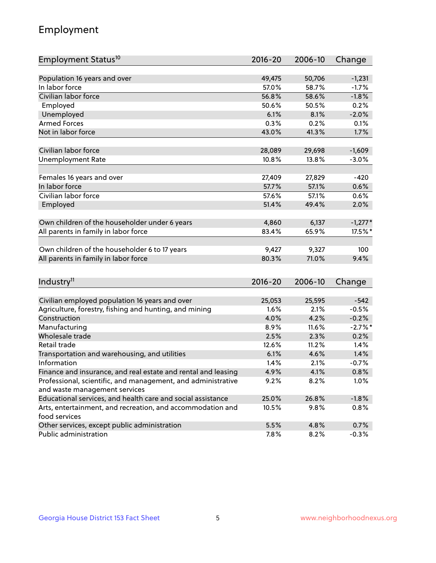## Employment

| Employment Status <sup>10</sup>                               | $2016 - 20$ | 2006-10 | Change     |
|---------------------------------------------------------------|-------------|---------|------------|
|                                                               |             |         |            |
| Population 16 years and over                                  | 49,475      | 50,706  | $-1,231$   |
| In labor force                                                | 57.0%       | 58.7%   | $-1.7%$    |
| Civilian labor force                                          | 56.8%       | 58.6%   | $-1.8%$    |
| Employed                                                      | 50.6%       | 50.5%   | 0.2%       |
| Unemployed                                                    | 6.1%        | 8.1%    | $-2.0%$    |
| <b>Armed Forces</b>                                           | 0.3%        | 0.2%    | 0.1%       |
| Not in labor force                                            | 43.0%       | 41.3%   | 1.7%       |
|                                                               |             |         |            |
| Civilian labor force                                          | 28,089      | 29,698  | $-1,609$   |
| <b>Unemployment Rate</b>                                      | 10.8%       | 13.8%   | $-3.0%$    |
|                                                               |             |         |            |
| Females 16 years and over                                     | 27,409      | 27,829  | $-420$     |
| In labor force                                                | 57.7%       | 57.1%   | 0.6%       |
| Civilian labor force                                          | 57.6%       | 57.1%   | 0.6%       |
| Employed                                                      | 51.4%       | 49.4%   | 2.0%       |
| Own children of the householder under 6 years                 | 4,860       | 6,137   | $-1,277*$  |
| All parents in family in labor force                          | 83.4%       | 65.9%   | 17.5%*     |
|                                                               |             |         |            |
| Own children of the householder 6 to 17 years                 | 9,427       | 9,327   | 100        |
| All parents in family in labor force                          | 80.3%       | 71.0%   | 9.4%       |
|                                                               |             |         |            |
| Industry <sup>11</sup>                                        | $2016 - 20$ | 2006-10 | Change     |
|                                                               |             |         |            |
| Civilian employed population 16 years and over                | 25,053      | 25,595  | $-542$     |
| Agriculture, forestry, fishing and hunting, and mining        | 1.6%        | 2.1%    | $-0.5%$    |
| Construction                                                  | 4.0%        | 4.2%    | $-0.2%$    |
| Manufacturing                                                 | 8.9%        | 11.6%   | $-2.7\%$ * |
| Wholesale trade                                               | 2.5%        | 2.3%    | 0.2%       |
| Retail trade                                                  | 12.6%       | 11.2%   | 1.4%       |
| Transportation and warehousing, and utilities                 | 6.1%        | 4.6%    | 1.4%       |
| Information                                                   | 1.4%        | 2.1%    | $-0.7%$    |
| Finance and insurance, and real estate and rental and leasing | 4.9%        | 4.1%    | 0.8%       |
| Professional, scientific, and management, and administrative  | 9.2%        | 8.2%    | 1.0%       |
| and waste management services                                 |             |         |            |
| Educational services, and health care and social assistance   | 25.0%       | 26.8%   | $-1.8%$    |
| Arts, entertainment, and recreation, and accommodation and    | 10.5%       | 9.8%    | 0.8%       |
| food services                                                 |             |         |            |
| Other services, except public administration                  | 5.5%        | 4.8%    | 0.7%       |
| Public administration                                         | 7.8%        | 8.2%    | $-0.3%$    |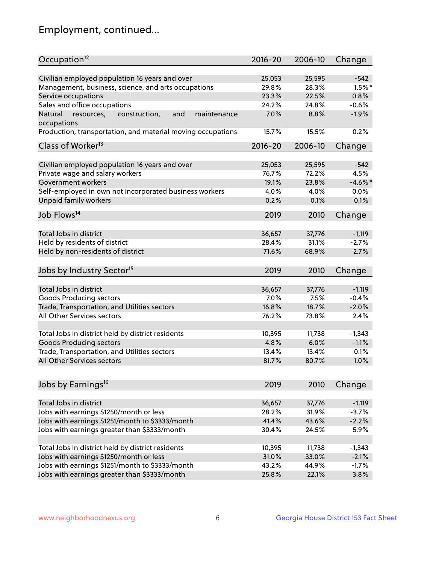## Employment, continued...

| Occupation <sup>12</sup>                                                    | $2016 - 20$ | 2006-10 | Change     |
|-----------------------------------------------------------------------------|-------------|---------|------------|
| Civilian employed population 16 years and over                              |             |         |            |
|                                                                             | 25,053      | 25,595  | $-542$     |
| Management, business, science, and arts occupations                         | 29.8%       | 28.3%   | $1.5\%$ *  |
| Service occupations                                                         | 23.3%       | 22.5%   | 0.8%       |
| Sales and office occupations                                                | 24.2%       | 24.8%   | $-0.6%$    |
| Natural<br>and<br>resources,<br>construction,<br>maintenance<br>occupations | 7.0%        | 8.8%    | $-1.9%$    |
| Production, transportation, and material moving occupations                 | 15.7%       | 15.5%   | 0.2%       |
| Class of Worker <sup>13</sup>                                               | $2016 - 20$ | 2006-10 | Change     |
|                                                                             |             |         |            |
| Civilian employed population 16 years and over                              | 25,053      | 25,595  | $-542$     |
| Private wage and salary workers                                             | 76.7%       | 72.2%   | 4.5%       |
| Government workers                                                          | 19.1%       | 23.8%   | $-4.6\%$ * |
| Self-employed in own not incorporated business workers                      | 4.0%        | 4.0%    | 0.0%       |
| Unpaid family workers                                                       | 0.2%        | 0.1%    | 0.1%       |
| Job Flows <sup>14</sup>                                                     | 2019        | 2010    | Change     |
|                                                                             |             |         |            |
| Total Jobs in district                                                      | 36,657      | 37,776  | $-1,119$   |
| Held by residents of district                                               | 28.4%       | 31.1%   | $-2.7%$    |
| Held by non-residents of district                                           | 71.6%       | 68.9%   | 2.7%       |
| Jobs by Industry Sector <sup>15</sup>                                       | 2019        | 2010    |            |
|                                                                             |             |         | Change     |
| Total Jobs in district                                                      | 36,657      | 37,776  | $-1,119$   |
| Goods Producing sectors                                                     | 7.0%        | 7.5%    | $-0.4%$    |
| Trade, Transportation, and Utilities sectors                                | 16.8%       | 18.7%   | $-2.0%$    |
| All Other Services sectors                                                  | 76.2%       | 73.8%   | 2.4%       |
|                                                                             |             |         |            |
| Total Jobs in district held by district residents                           | 10,395      | 11,738  | $-1,343$   |
| <b>Goods Producing sectors</b>                                              | 4.8%        | 6.0%    | $-1.1%$    |
| Trade, Transportation, and Utilities sectors                                | 13.4%       | 13.4%   | 0.1%       |
| All Other Services sectors                                                  | 81.7%       | 80.7%   | 1.0%       |
|                                                                             |             |         |            |
| Jobs by Earnings <sup>16</sup>                                              | 2019        | 2010    | Change     |
|                                                                             |             |         |            |
| Total Jobs in district                                                      | 36,657      | 37,776  | $-1,119$   |
| Jobs with earnings \$1250/month or less                                     | 28.2%       | 31.9%   | $-3.7%$    |
| Jobs with earnings \$1251/month to \$3333/month                             | 41.4%       | 43.6%   | $-2.2%$    |
| Jobs with earnings greater than \$3333/month                                | 30.4%       | 24.5%   | 5.9%       |
|                                                                             |             |         |            |
| Total Jobs in district held by district residents                           | 10,395      | 11,738  | $-1,343$   |
| Jobs with earnings \$1250/month or less                                     | 31.0%       | 33.0%   | $-2.1%$    |
| Jobs with earnings \$1251/month to \$3333/month                             | 43.2%       | 44.9%   | $-1.7%$    |
| Jobs with earnings greater than \$3333/month                                | 25.8%       | 22.1%   | 3.8%       |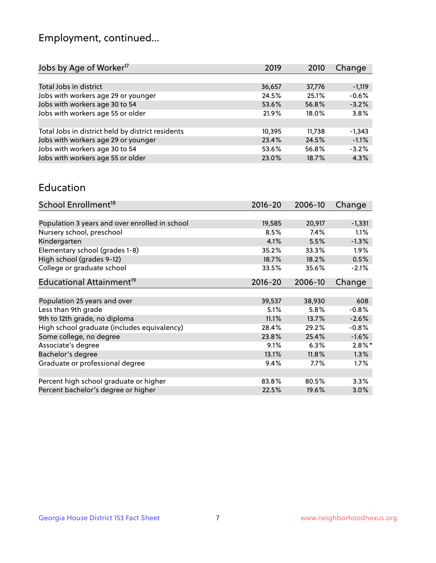## Employment, continued...

| 2019   | 2010   | Change   |
|--------|--------|----------|
|        |        |          |
| 36,657 | 37,776 | $-1,119$ |
| 24.5%  | 25.1%  | $-0.6%$  |
| 53.6%  | 56.8%  | $-3.2%$  |
| 21.9%  | 18.0%  | 3.8%     |
|        |        |          |
| 10,395 | 11,738 | $-1,343$ |
| 23.4%  | 24.5%  | $-1.1%$  |
| 53.6%  | 56.8%  | $-3.2%$  |
| 23.0%  | 18.7%  | 4.3%     |
|        |        |          |

#### Education

| School Enrollment <sup>18</sup>                | $2016 - 20$ | 2006-10 | Change    |
|------------------------------------------------|-------------|---------|-----------|
|                                                |             |         |           |
| Population 3 years and over enrolled in school | 19,585      | 20,917  | $-1,331$  |
| Nursery school, preschool                      | 8.5%        | 7.4%    | 1.1%      |
| Kindergarten                                   | 4.1%        | 5.5%    | $-1.3%$   |
| Elementary school (grades 1-8)                 | 35.2%       | 33.3%   | $1.9\%$   |
| High school (grades 9-12)                      | 18.7%       | 18.2%   | 0.5%      |
| College or graduate school                     | 33.5%       | 35.6%   | $-2.1%$   |
| Educational Attainment <sup>19</sup>           | $2016 - 20$ | 2006-10 | Change    |
|                                                |             |         |           |
| Population 25 years and over                   | 39,537      | 38,930  | 608       |
| Less than 9th grade                            | 5.1%        | 5.8%    | $-0.8%$   |
| 9th to 12th grade, no diploma                  | 11.1%       | 13.7%   | $-2.6%$   |
| High school graduate (includes equivalency)    | 28.4%       | 29.2%   | $-0.8%$   |
| Some college, no degree                        | 23.8%       | 25.4%   | $-1.6%$   |
| Associate's degree                             | 9.1%        | 6.3%    | $2.8\%$ * |
| Bachelor's degree                              | 13.1%       | 11.8%   | 1.3%      |
| Graduate or professional degree                | $9.4\%$     | 7.7%    | $1.7\%$   |
|                                                |             |         |           |
| Percent high school graduate or higher         | 83.8%       | 80.5%   | 3.3%      |
| Percent bachelor's degree or higher            | 22.5%       | 19.6%   | 3.0%      |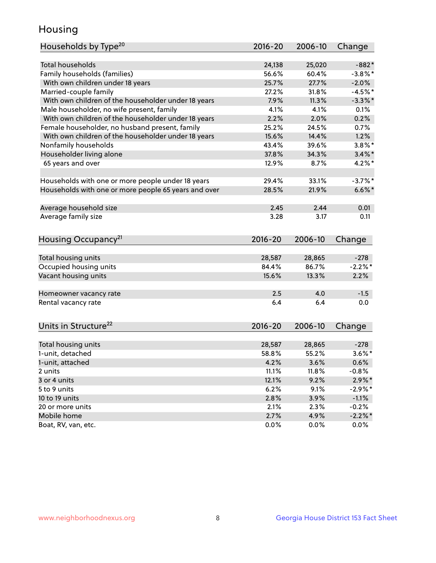## Housing

| Households by Type <sup>20</sup>                     | 2016-20     | 2006-10 | Change     |
|------------------------------------------------------|-------------|---------|------------|
|                                                      |             |         |            |
| <b>Total households</b>                              | 24,138      | 25,020  | $-882*$    |
| Family households (families)                         | 56.6%       | 60.4%   | $-3.8\%$ * |
| With own children under 18 years                     | 25.7%       | 27.7%   | $-2.0%$    |
| Married-couple family                                | 27.2%       | 31.8%   | $-4.5%$ *  |
| With own children of the householder under 18 years  | 7.9%        | 11.3%   | $-3.3\%$ * |
| Male householder, no wife present, family            | 4.1%        | 4.1%    | 0.1%       |
| With own children of the householder under 18 years  | 2.2%        | 2.0%    | 0.2%       |
| Female householder, no husband present, family       | 25.2%       | 24.5%   | 0.7%       |
| With own children of the householder under 18 years  | 15.6%       | 14.4%   | 1.2%       |
| Nonfamily households                                 | 43.4%       | 39.6%   | $3.8\%$ *  |
| Householder living alone                             | 37.8%       | 34.3%   | $3.4\%$ *  |
| 65 years and over                                    | 12.9%       | 8.7%    | $4.2\%$ *  |
|                                                      |             |         |            |
| Households with one or more people under 18 years    | 29.4%       | 33.1%   | $-3.7%$ *  |
| Households with one or more people 65 years and over | 28.5%       | 21.9%   | $6.6\%$ *  |
|                                                      |             |         |            |
| Average household size                               | 2.45        | 2.44    | 0.01       |
| Average family size                                  | 3.28        | 3.17    | 0.11       |
|                                                      |             |         |            |
| Housing Occupancy <sup>21</sup>                      | $2016 - 20$ | 2006-10 | Change     |
|                                                      |             |         |            |
| Total housing units                                  | 28,587      | 28,865  | $-278$     |
| Occupied housing units                               | 84.4%       | 86.7%   | $-2.2%$ *  |
| Vacant housing units                                 | 15.6%       | 13.3%   | 2.2%       |
|                                                      |             |         |            |
| Homeowner vacancy rate                               | 2.5         | 4.0     | $-1.5$     |
| Rental vacancy rate                                  | 6.4         | 6.4     | 0.0        |
|                                                      |             |         |            |
|                                                      |             |         |            |
| Units in Structure <sup>22</sup>                     | 2016-20     | 2006-10 | Change     |
| Total housing units                                  | 28,587      | 28,865  | $-278$     |
| 1-unit, detached                                     | 58.8%       | 55.2%   | $3.6\%$ *  |
|                                                      | 4.2%        | 3.6%    | 0.6%       |
| 1-unit, attached<br>2 units                          | 11.1%       | 11.8%   | $-0.8%$    |
|                                                      |             |         |            |
| 3 or 4 units                                         | 12.1%       | 9.2%    | $2.9\%*$   |
| 5 to 9 units                                         | 6.2%        | 9.1%    | $-2.9\%$ * |
| 10 to 19 units                                       | 2.8%        | 3.9%    | $-1.1%$    |
| 20 or more units                                     | 2.1%        | 2.3%    | $-0.2%$    |
| Mobile home                                          | 2.7%        | 4.9%    | $-2.2\%$ * |
| Boat, RV, van, etc.                                  | 0.0%        | 0.0%    | 0.0%       |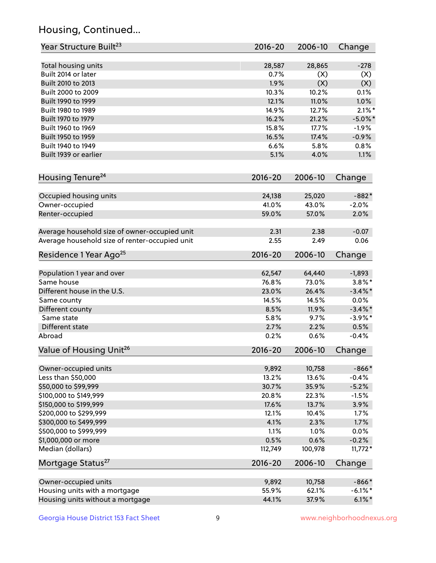## Housing, Continued...

| Year Structure Built <sup>23</sup>             | 2016-20     | 2006-10 | Change     |
|------------------------------------------------|-------------|---------|------------|
| Total housing units                            | 28,587      | 28,865  | $-278$     |
| Built 2014 or later                            | 0.7%        | (X)     | (X)        |
| Built 2010 to 2013                             | 1.9%        | (X)     | (X)        |
| Built 2000 to 2009                             | 10.3%       | 10.2%   | 0.1%       |
| Built 1990 to 1999                             | 12.1%       | 11.0%   | 1.0%       |
| Built 1980 to 1989                             | 14.9%       | 12.7%   | $2.1\%$ *  |
| Built 1970 to 1979                             | 16.2%       | 21.2%   | $-5.0\%$ * |
| Built 1960 to 1969                             | 15.8%       | 17.7%   | $-1.9%$    |
| Built 1950 to 1959                             | 16.5%       | 17.4%   | $-0.9%$    |
| Built 1940 to 1949                             | 6.6%        | 5.8%    | 0.8%       |
| Built 1939 or earlier                          | 5.1%        | 4.0%    | 1.1%       |
|                                                |             |         |            |
| Housing Tenure <sup>24</sup>                   | $2016 - 20$ | 2006-10 | Change     |
| Occupied housing units                         | 24,138      | 25,020  | $-882*$    |
| Owner-occupied                                 | 41.0%       | 43.0%   | $-2.0%$    |
| Renter-occupied                                | 59.0%       | 57.0%   | 2.0%       |
|                                                |             |         |            |
| Average household size of owner-occupied unit  | 2.31        | 2.38    | $-0.07$    |
| Average household size of renter-occupied unit | 2.55        | 2.49    | 0.06       |
| Residence 1 Year Ago <sup>25</sup>             | $2016 - 20$ | 2006-10 | Change     |
| Population 1 year and over                     | 62,547      | 64,440  | $-1,893$   |
| Same house                                     | 76.8%       | 73.0%   | $3.8\%$ *  |
| Different house in the U.S.                    | 23.0%       | 26.4%   | $-3.4\%$ * |
| Same county                                    | 14.5%       | 14.5%   | 0.0%       |
| Different county                               | 8.5%        | 11.9%   | $-3.4\%$ * |
| Same state                                     | 5.8%        | 9.7%    | $-3.9\%$ * |
| Different state                                | 2.7%        | 2.2%    | 0.5%       |
| Abroad                                         | 0.2%        | 0.6%    | $-0.4%$    |
|                                                |             |         |            |
| Value of Housing Unit <sup>26</sup>            | $2016 - 20$ | 2006-10 | Change     |
| Owner-occupied units                           | 9,892       | 10,758  | $-866*$    |
| Less than \$50,000                             | 13.2%       | 13.6%   | $-0.4%$    |
| \$50,000 to \$99,999                           | 30.7%       | 35.9%   | $-5.2%$    |
| \$100,000 to \$149,999                         | 20.8%       | 22.3%   | $-1.5%$    |
| \$150,000 to \$199,999                         | 17.6%       | 13.7%   | 3.9%       |
| \$200,000 to \$299,999                         | 12.1%       | 10.4%   | 1.7%       |
| \$300,000 to \$499,999                         | 4.1%        | 2.3%    | 1.7%       |
| \$500,000 to \$999,999                         | 1.1%        | 1.0%    | 0.0%       |
| \$1,000,000 or more                            | 0.5%        | 0.6%    | $-0.2%$    |
| Median (dollars)                               | 112,749     | 100,978 | $11,772*$  |
| Mortgage Status <sup>27</sup>                  | $2016 - 20$ | 2006-10 | Change     |
| Owner-occupied units                           | 9,892       | 10,758  | $-866*$    |
| Housing units with a mortgage                  | 55.9%       | 62.1%   | $-6.1\%$ * |
| Housing units without a mortgage               | 44.1%       | 37.9%   | $6.1\%$ *  |
|                                                |             |         |            |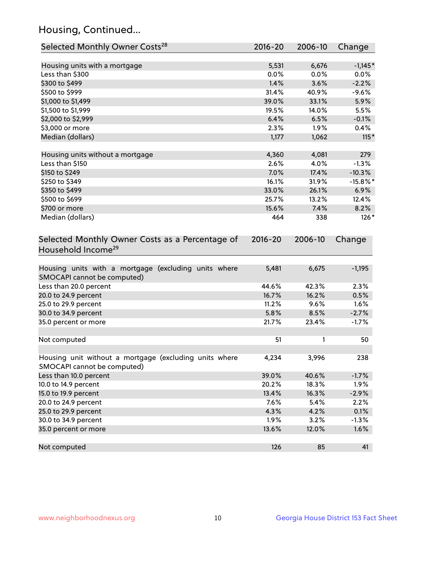## Housing, Continued...

| Selected Monthly Owner Costs <sup>28</sup>                                            | 2016-20 | 2006-10 | Change      |
|---------------------------------------------------------------------------------------|---------|---------|-------------|
| Housing units with a mortgage                                                         | 5,531   | 6,676   | $-1,145*$   |
| Less than \$300                                                                       | 0.0%    | 0.0%    | 0.0%        |
| \$300 to \$499                                                                        | 1.4%    | 3.6%    | $-2.2%$     |
| \$500 to \$999                                                                        | 31.4%   | 40.9%   | $-9.6%$     |
| \$1,000 to \$1,499                                                                    | 39.0%   | 33.1%   | 5.9%        |
| \$1,500 to \$1,999                                                                    | 19.5%   | 14.0%   | 5.5%        |
| \$2,000 to \$2,999                                                                    | 6.4%    | 6.5%    | $-0.1%$     |
| \$3,000 or more                                                                       | 2.3%    | 1.9%    | 0.4%        |
| Median (dollars)                                                                      | 1,177   | 1,062   | $115*$      |
| Housing units without a mortgage                                                      | 4,360   | 4,081   | 279         |
| Less than \$150                                                                       | 2.6%    | 4.0%    | $-1.3%$     |
| \$150 to \$249                                                                        | 7.0%    | 17.4%   | $-10.3%$    |
| \$250 to \$349                                                                        | 16.1%   | 31.9%   | $-15.8\%$ * |
| \$350 to \$499                                                                        | 33.0%   | 26.1%   | 6.9%        |
| \$500 to \$699                                                                        | 25.7%   | 13.2%   | 12.4%       |
| \$700 or more                                                                         | 15.6%   | 7.4%    | 8.2%        |
| Median (dollars)                                                                      | 464     | 338     | $126*$      |
| Household Income <sup>29</sup>                                                        |         |         |             |
| Housing units with a mortgage (excluding units where<br>SMOCAPI cannot be computed)   | 5,481   | 6,675   | $-1,195$    |
| Less than 20.0 percent                                                                | 44.6%   | 42.3%   | 2.3%        |
| 20.0 to 24.9 percent                                                                  | 16.7%   | 16.2%   | 0.5%        |
| 25.0 to 29.9 percent                                                                  | 11.2%   | 9.6%    | 1.6%        |
| 30.0 to 34.9 percent                                                                  | 5.8%    | 8.5%    | $-2.7%$     |
| 35.0 percent or more                                                                  | 21.7%   | 23.4%   | $-1.7%$     |
| Not computed                                                                          | 51      | 1       | 50          |
| Housing unit without a mortgage (excluding units where<br>SMOCAPI cannot be computed) | 4,234   | 3,996   | 238         |
| Less than 10.0 percent                                                                | 39.0%   | 40.6%   | $-1.7%$     |
| 10.0 to 14.9 percent                                                                  | 20.2%   | 18.3%   | 1.9%        |
| 15.0 to 19.9 percent                                                                  | 13.4%   | 16.3%   | $-2.9%$     |
| 20.0 to 24.9 percent                                                                  | 7.6%    | 5.4%    | 2.2%        |
| 25.0 to 29.9 percent                                                                  | 4.3%    | 4.2%    | 0.1%        |
| 30.0 to 34.9 percent                                                                  | 1.9%    | 3.2%    | $-1.3%$     |
| 35.0 percent or more                                                                  | 13.6%   | 12.0%   | 1.6%        |
| Not computed                                                                          | 126     | 85      | 41          |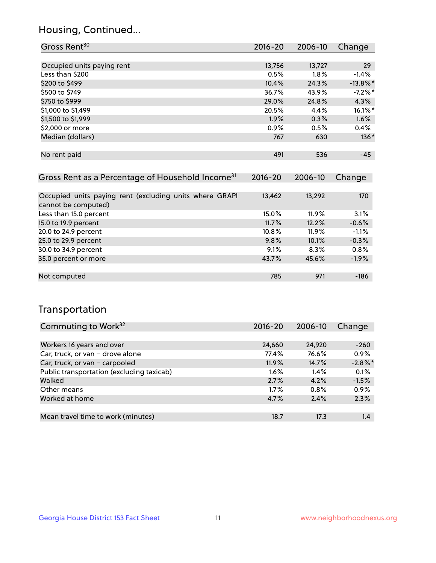## Housing, Continued...

| Gross Rent <sup>30</sup>   | 2016-20 | 2006-10 | Change      |
|----------------------------|---------|---------|-------------|
|                            |         |         |             |
| Occupied units paying rent | 13,756  | 13,727  | 29          |
| Less than \$200            | 0.5%    | 1.8%    | $-1.4%$     |
| \$200 to \$499             | 10.4%   | 24.3%   | $-13.8\%$ * |
| \$500 to \$749             | 36.7%   | 43.9%   | $-7.2%$ *   |
| \$750 to \$999             | 29.0%   | 24.8%   | 4.3%        |
| \$1,000 to \$1,499         | 20.5%   | 4.4%    | 16.1%*      |
| \$1,500 to \$1,999         | 1.9%    | 0.3%    | 1.6%        |
| \$2,000 or more            | 0.9%    | 0.5%    | $0.4\%$     |
| Median (dollars)           | 767     | 630     | $136*$      |
|                            |         |         |             |
| No rent paid               | 491     | 536     | $-45$       |

| Gross Rent as a Percentage of Household Income <sup>31</sup>                   | $2016 - 20$ | 2006-10  | Change  |
|--------------------------------------------------------------------------------|-------------|----------|---------|
|                                                                                |             |          |         |
| Occupied units paying rent (excluding units where GRAPI<br>cannot be computed) | 13,462      | 13,292   | 170     |
| Less than 15.0 percent                                                         | 15.0%       | 11.9%    | 3.1%    |
| 15.0 to 19.9 percent                                                           | 11.7%       | 12.2%    | $-0.6%$ |
| 20.0 to 24.9 percent                                                           | $10.8\%$    | $11.9\%$ | $-1.1%$ |
| 25.0 to 29.9 percent                                                           | 9.8%        | 10.1%    | $-0.3%$ |
| 30.0 to 34.9 percent                                                           | 9.1%        | 8.3%     | 0.8%    |
| 35.0 percent or more                                                           | 43.7%       | 45.6%    | $-1.9%$ |
|                                                                                |             |          |         |
| Not computed                                                                   | 785         | 971      | $-186$  |

## Transportation

| Commuting to Work <sup>32</sup>           | 2016-20 | 2006-10 | Change     |
|-------------------------------------------|---------|---------|------------|
|                                           |         |         |            |
| Workers 16 years and over                 | 24,660  | 24,920  | $-260$     |
| Car, truck, or van - drove alone          | 77.4%   | 76.6%   | 0.9%       |
| Car, truck, or van - carpooled            | 11.9%   | 14.7%   | $-2.8\%$ * |
| Public transportation (excluding taxicab) | $1.6\%$ | $1.4\%$ | 0.1%       |
| Walked                                    | 2.7%    | 4.2%    | $-1.5%$    |
| Other means                               | $1.7\%$ | $0.8\%$ | 0.9%       |
| Worked at home                            | 4.7%    | 2.4%    | 2.3%       |
|                                           |         |         |            |
| Mean travel time to work (minutes)        | 18.7    | 17.3    | 1.4        |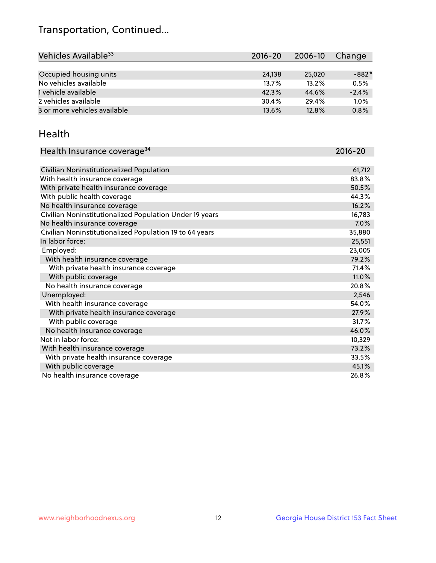## Transportation, Continued...

| Vehicles Available <sup>33</sup> | $2016 - 20$ | 2006-10 | Change  |
|----------------------------------|-------------|---------|---------|
|                                  |             |         |         |
| Occupied housing units           | 24.138      | 25,020  | $-882*$ |
| No vehicles available            | 13.7%       | 13.2%   | 0.5%    |
| 1 vehicle available              | 42.3%       | 44.6%   | $-2.4%$ |
| 2 vehicles available             | 30.4%       | 29.4%   | 1.0%    |
| 3 or more vehicles available     | 13.6%       | 12.8%   | 0.8%    |

#### Health

| Health Insurance coverage <sup>34</sup>                 | 2016-20 |
|---------------------------------------------------------|---------|
|                                                         |         |
| Civilian Noninstitutionalized Population                | 61,712  |
| With health insurance coverage                          | 83.8%   |
| With private health insurance coverage                  | 50.5%   |
| With public health coverage                             | 44.3%   |
| No health insurance coverage                            | 16.2%   |
| Civilian Noninstitutionalized Population Under 19 years | 16,783  |
| No health insurance coverage                            | 7.0%    |
| Civilian Noninstitutionalized Population 19 to 64 years | 35,880  |
| In labor force:                                         | 25,551  |
| Employed:                                               | 23,005  |
| With health insurance coverage                          | 79.2%   |
| With private health insurance coverage                  | 71.4%   |
| With public coverage                                    | 11.0%   |
| No health insurance coverage                            | 20.8%   |
| Unemployed:                                             | 2,546   |
| With health insurance coverage                          | 54.0%   |
| With private health insurance coverage                  | 27.9%   |
| With public coverage                                    | 31.7%   |
| No health insurance coverage                            | 46.0%   |
| Not in labor force:                                     | 10,329  |
| With health insurance coverage                          | 73.2%   |
| With private health insurance coverage                  | 33.5%   |
| With public coverage                                    | 45.1%   |
| No health insurance coverage                            | 26.8%   |